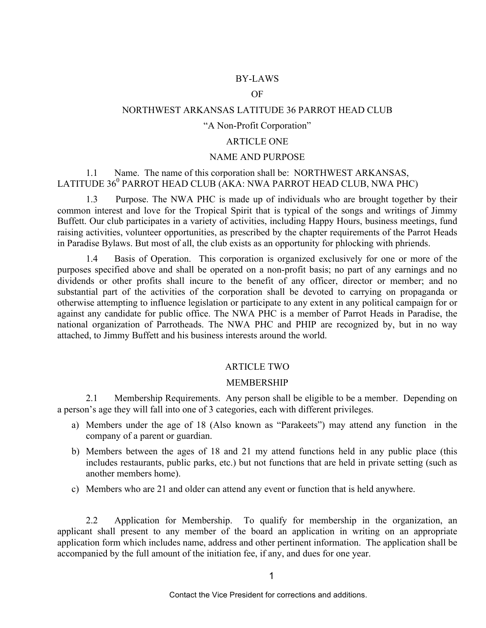## BY-LAWS

### OF

# NORTHWEST ARKANSAS LATITUDE 36 PARROT HEAD CLUB

### "A Non-Profit Corporation"

#### ARTICLE ONE

### NAME AND PURPOSE

## 1.1 Name. The name of this corporation shall be: NORTHWEST ARKANSAS, LATITUDE  $36^0$  PARROT HEAD CLUB (AKA: NWA PARROT HEAD CLUB, NWA PHC)

1.3 Purpose. The NWA PHC is made up of individuals who are brought together by their common interest and love for the Tropical Spirit that is typical of the songs and writings of Jimmy Buffett. Our club participates in a variety of activities, including Happy Hours, business meetings, fund raising activities, volunteer opportunities, as prescribed by the chapter requirements of the Parrot Heads in Paradise Bylaws. But most of all, the club exists as an opportunity for phlocking with phriends.

1.4 Basis of Operation. This corporation is organized exclusively for one or more of the purposes specified above and shall be operated on a non-profit basis; no part of any earnings and no dividends or other profits shall incure to the benefit of any officer, director or member; and no substantial part of the activities of the corporation shall be devoted to carrying on propaganda or otherwise attempting to influence legislation or participate to any extent in any political campaign for or against any candidate for public office. The NWA PHC is a member of Parrot Heads in Paradise, the national organization of Parrotheads. The NWA PHC and PHIP are recognized by, but in no way attached, to Jimmy Buffett and his business interests around the world.

#### ARTICLE TWO

#### MEMBERSHIP

2.1 Membership Requirements. Any person shall be eligible to be a member. Depending on a person's age they will fall into one of 3 categories, each with different privileges.

- a) Members under the age of 18 (Also known as "Parakeets") may attend any function in the company of a parent or guardian.
- b) Members between the ages of 18 and 21 my attend functions held in any public place (this includes restaurants, public parks, etc.) but not functions that are held in private setting (such as another members home).
- c) Members who are 21 and older can attend any event or function that is held anywhere.

2.2 Application for Membership. To qualify for membership in the organization, an applicant shall present to any member of the board an application in writing on an appropriate application form which includes name, address and other pertinent information. The application shall be accompanied by the full amount of the initiation fee, if any, and dues for one year.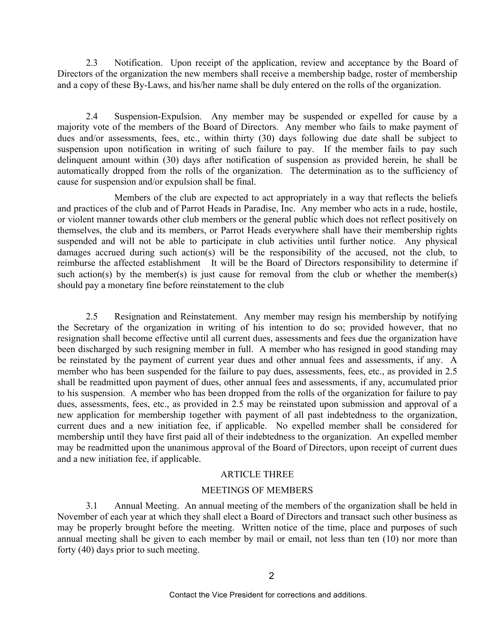2.3 Notification. Upon receipt of the application, review and acceptance by the Board of Directors of the organization the new members shall receive a membership badge, roster of membership and a copy of these By-Laws, and his/her name shall be duly entered on the rolls of the organization.

2.4 Suspension-Expulsion. Any member may be suspended or expelled for cause by a majority vote of the members of the Board of Directors. Any member who fails to make payment of dues and/or assessments, fees, etc., within thirty (30) days following due date shall be subject to suspension upon notification in writing of such failure to pay. If the member fails to pay such delinquent amount within (30) days after notification of suspension as provided herein, he shall be automatically dropped from the rolls of the organization. The determination as to the sufficiency of cause for suspension and/or expulsion shall be final.

Members of the club are expected to act appropriately in a way that reflects the beliefs and practices of the club and of Parrot Heads in Paradise, Inc. Any member who acts in a rude, hostile, or violent manner towards other club members or the general public which does not reflect positively on themselves, the club and its members, or Parrot Heads everywhere shall have their membership rights suspended and will not be able to participate in club activities until further notice. Any physical damages accrued during such action(s) will be the responsibility of the accused, not the club, to reimburse the affected establishment It will be the Board of Directors responsibility to determine if such action(s) by the member(s) is just cause for removal from the club or whether the member(s) should pay a monetary fine before reinstatement to the club

2.5 Resignation and Reinstatement. Any member may resign his membership by notifying the Secretary of the organization in writing of his intention to do so; provided however, that no resignation shall become effective until all current dues, assessments and fees due the organization have been discharged by such resigning member in full. A member who has resigned in good standing may be reinstated by the payment of current year dues and other annual fees and assessments, if any. A member who has been suspended for the failure to pay dues, assessments, fees, etc., as provided in 2.5 shall be readmitted upon payment of dues, other annual fees and assessments, if any, accumulated prior to his suspension. A member who has been dropped from the rolls of the organization for failure to pay dues, assessments, fees, etc., as provided in 2.5 may be reinstated upon submission and approval of a new application for membership together with payment of all past indebtedness to the organization, current dues and a new initiation fee, if applicable. No expelled member shall be considered for membership until they have first paid all of their indebtedness to the organization. An expelled member may be readmitted upon the unanimous approval of the Board of Directors, upon receipt of current dues and a new initiation fee, if applicable.

### ARTICLE THREE

### MEETINGS OF MEMBERS

3.1 Annual Meeting. An annual meeting of the members of the organization shall be held in November of each year at which they shall elect a Board of Directors and transact such other business as may be properly brought before the meeting. Written notice of the time, place and purposes of such annual meeting shall be given to each member by mail or email, not less than ten (10) nor more than forty (40) days prior to such meeting.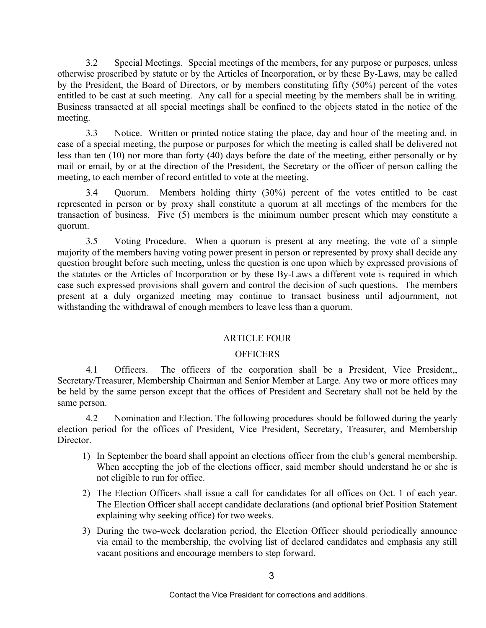3.2 Special Meetings. Special meetings of the members, for any purpose or purposes, unless otherwise proscribed by statute or by the Articles of Incorporation, or by these By-Laws, may be called by the President, the Board of Directors, or by members constituting fifty (50%) percent of the votes entitled to be cast at such meeting. Any call for a special meeting by the members shall be in writing. Business transacted at all special meetings shall be confined to the objects stated in the notice of the meeting.

3.3 Notice. Written or printed notice stating the place, day and hour of the meeting and, in case of a special meeting, the purpose or purposes for which the meeting is called shall be delivered not less than ten (10) nor more than forty (40) days before the date of the meeting, either personally or by mail or email, by or at the direction of the President, the Secretary or the officer of person calling the meeting, to each member of record entitled to vote at the meeting.

3.4 Quorum. Members holding thirty (30%) percent of the votes entitled to be cast represented in person or by proxy shall constitute a quorum at all meetings of the members for the transaction of business. Five (5) members is the minimum number present which may constitute a quorum.

3.5 Voting Procedure. When a quorum is present at any meeting, the vote of a simple majority of the members having voting power present in person or represented by proxy shall decide any question brought before such meeting, unless the question is one upon which by expressed provisions of the statutes or the Articles of Incorporation or by these By-Laws a different vote is required in which case such expressed provisions shall govern and control the decision of such questions. The members present at a duly organized meeting may continue to transact business until adjournment, not withstanding the withdrawal of enough members to leave less than a quorum.

## ARTICLE FOUR

## **OFFICERS**

4.1 Officers. The officers of the corporation shall be a President, Vice President,, Secretary/Treasurer, Membership Chairman and Senior Member at Large. Any two or more offices may be held by the same person except that the offices of President and Secretary shall not be held by the same person.

4.2 Nomination and Election. The following procedures should be followed during the yearly election period for the offices of President, Vice President, Secretary, Treasurer, and Membership Director.

- 1) In September the board shall appoint an elections officer from the club's general membership. When accepting the job of the elections officer, said member should understand he or she is not eligible to run for office.
- 2) The Election Officers shall issue a call for candidates for all offices on Oct. 1 of each year. The Election Officer shall accept candidate declarations (and optional brief Position Statement explaining why seeking office) for two weeks.
- 3) During the two-week declaration period, the Election Officer should periodically announce via email to the membership, the evolving list of declared candidates and emphasis any still vacant positions and encourage members to step forward.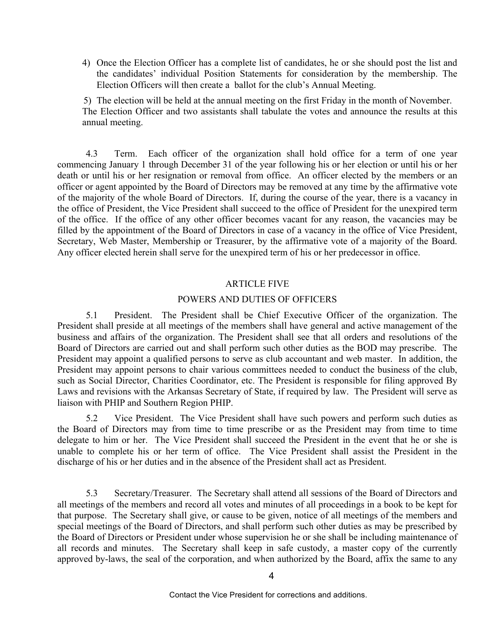4) Once the Election Officer has a complete list of candidates, he or she should post the list and the candidates' individual Position Statements for consideration by the membership. The Election Officers will then create a ballot for the club's Annual Meeting.

5) The election will be held at the annual meeting on the first Friday in the month of November. The Election Officer and two assistants shall tabulate the votes and announce the results at this annual meeting.

4.3 Term. Each officer of the organization shall hold office for a term of one year commencing January 1 through December 31 of the year following his or her election or until his or her death or until his or her resignation or removal from office. An officer elected by the members or an officer or agent appointed by the Board of Directors may be removed at any time by the affirmative vote of the majority of the whole Board of Directors. If, during the course of the year, there is a vacancy in the office of President, the Vice President shall succeed to the office of President for the unexpired term of the office. If the office of any other officer becomes vacant for any reason, the vacancies may be filled by the appointment of the Board of Directors in case of a vacancy in the office of Vice President, Secretary, Web Master, Membership or Treasurer, by the affirmative vote of a majority of the Board. Any officer elected herein shall serve for the unexpired term of his or her predecessor in office.

# ARTICLE FIVE

### POWERS AND DUTIES OF OFFICERS

5.1 President. The President shall be Chief Executive Officer of the organization. The President shall preside at all meetings of the members shall have general and active management of the business and affairs of the organization. The President shall see that all orders and resolutions of the Board of Directors are carried out and shall perform such other duties as the BOD may prescribe. The President may appoint a qualified persons to serve as club accountant and web master. In addition, the President may appoint persons to chair various committees needed to conduct the business of the club, such as Social Director, Charities Coordinator, etc. The President is responsible for filing approved By Laws and revisions with the Arkansas Secretary of State, if required by law. The President will serve as liaison with PHIP and Southern Region PHIP.

5.2 Vice President. The Vice President shall have such powers and perform such duties as the Board of Directors may from time to time prescribe or as the President may from time to time delegate to him or her. The Vice President shall succeed the President in the event that he or she is unable to complete his or her term of office. The Vice President shall assist the President in the discharge of his or her duties and in the absence of the President shall act as President.

5.3 Secretary/Treasurer. The Secretary shall attend all sessions of the Board of Directors and all meetings of the members and record all votes and minutes of all proceedings in a book to be kept for that purpose. The Secretary shall give, or cause to be given, notice of all meetings of the members and special meetings of the Board of Directors, and shall perform such other duties as may be prescribed by the Board of Directors or President under whose supervision he or she shall be including maintenance of all records and minutes. The Secretary shall keep in safe custody, a master copy of the currently approved by-laws, the seal of the corporation, and when authorized by the Board, affix the same to any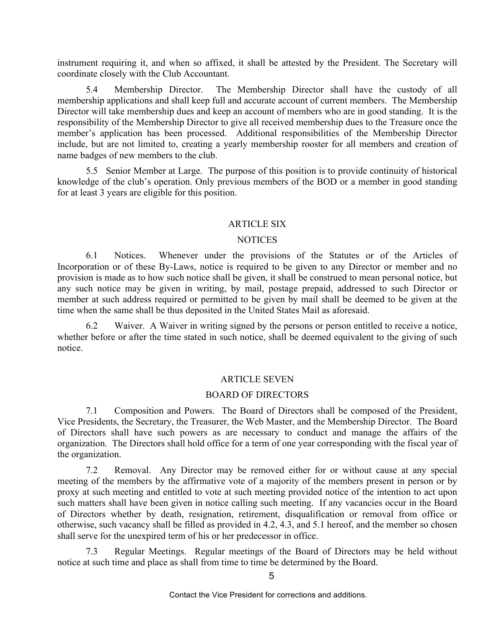instrument requiring it, and when so affixed, it shall be attested by the President. The Secretary will coordinate closely with the Club Accountant.

5.4 Membership Director. The Membership Director shall have the custody of all membership applications and shall keep full and accurate account of current members. The Membership Director will take membership dues and keep an account of members who are in good standing. It is the responsibility of the Membership Director to give all received membership dues to the Treasure once the member's application has been processed. Additional responsibilities of the Membership Director include, but are not limited to, creating a yearly membership rooster for all members and creation of name badges of new members to the club.

5.5 Senior Member at Large. The purpose of this position is to provide continuity of historical knowledge of the club's operation. Only previous members of the BOD or a member in good standing for at least 3 years are eligible for this position.

### ARTICLE SIX

## **NOTICES**

6.1 Notices. Whenever under the provisions of the Statutes or of the Articles of Incorporation or of these By-Laws, notice is required to be given to any Director or member and no provision is made as to how such notice shall be given, it shall be construed to mean personal notice, but any such notice may be given in writing, by mail, postage prepaid, addressed to such Director or member at such address required or permitted to be given by mail shall be deemed to be given at the time when the same shall be thus deposited in the United States Mail as aforesaid.

6.2 Waiver. A Waiver in writing signed by the persons or person entitled to receive a notice, whether before or after the time stated in such notice, shall be deemed equivalent to the giving of such notice.

### ARTICLE SEVEN

### BOARD OF DIRECTORS

7.1 Composition and Powers. The Board of Directors shall be composed of the President, Vice Presidents, the Secretary, the Treasurer, the Web Master, and the Membership Director. The Board of Directors shall have such powers as are necessary to conduct and manage the affairs of the organization. The Directors shall hold office for a term of one year corresponding with the fiscal year of the organization.

7.2 Removal. Any Director may be removed either for or without cause at any special meeting of the members by the affirmative vote of a majority of the members present in person or by proxy at such meeting and entitled to vote at such meeting provided notice of the intention to act upon such matters shall have been given in notice calling such meeting. If any vacancies occur in the Board of Directors whether by death, resignation, retirement, disqualification or removal from office or otherwise, such vacancy shall be filled as provided in 4.2, 4.3, and 5.1 hereof, and the member so chosen shall serve for the unexpired term of his or her predecessor in office.

7.3 Regular Meetings. Regular meetings of the Board of Directors may be held without notice at such time and place as shall from time to time be determined by the Board.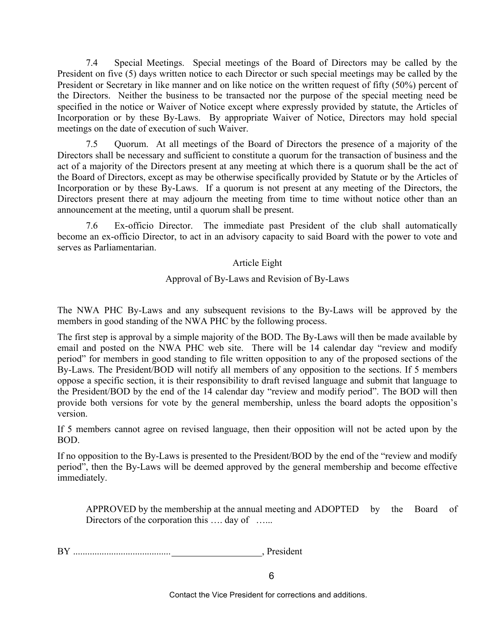7.4 Special Meetings. Special meetings of the Board of Directors may be called by the President on five (5) days written notice to each Director or such special meetings may be called by the President or Secretary in like manner and on like notice on the written request of fifty (50%) percent of the Directors. Neither the business to be transacted nor the purpose of the special meeting need be specified in the notice or Waiver of Notice except where expressly provided by statute, the Articles of Incorporation or by these By-Laws. By appropriate Waiver of Notice, Directors may hold special meetings on the date of execution of such Waiver.

7.5 Quorum. At all meetings of the Board of Directors the presence of a majority of the Directors shall be necessary and sufficient to constitute a quorum for the transaction of business and the act of a majority of the Directors present at any meeting at which there is a quorum shall be the act of the Board of Directors, except as may be otherwise specifically provided by Statute or by the Articles of Incorporation or by these By-Laws. If a quorum is not present at any meeting of the Directors, the Directors present there at may adjourn the meeting from time to time without notice other than an announcement at the meeting, until a quorum shall be present.

7.6 Ex-officio Director. The immediate past President of the club shall automatically become an ex-officio Director, to act in an advisory capacity to said Board with the power to vote and serves as Parliamentarian.

## Article Eight

# Approval of By-Laws and Revision of By-Laws

The NWA PHC By-Laws and any subsequent revisions to the By-Laws will be approved by the members in good standing of the NWA PHC by the following process.

The first step is approval by a simple majority of the BOD. The By-Laws will then be made available by email and posted on the NWA PHC web site. There will be 14 calendar day "review and modify period" for members in good standing to file written opposition to any of the proposed sections of the By-Laws. The President/BOD will notify all members of any opposition to the sections. If 5 members oppose a specific section, it is their responsibility to draft revised language and submit that language to the President/BOD by the end of the 14 calendar day "review and modify period". The BOD will then provide both versions for vote by the general membership, unless the board adopts the opposition's version.

If 5 members cannot agree on revised language, then their opposition will not be acted upon by the BOD.

If no opposition to the By-Laws is presented to the President/BOD by the end of the "review and modify period", then the By-Laws will be deemed approved by the general membership and become effective immediately.

APPROVED by the membership at the annual meeting and ADOPTED by the Board of Directors of the corporation this .... day of ......

BY .........................................\_\_\_\_\_\_\_\_\_\_\_\_\_\_\_\_\_\_\_, President

Contact the Vice President for corrections and additions.